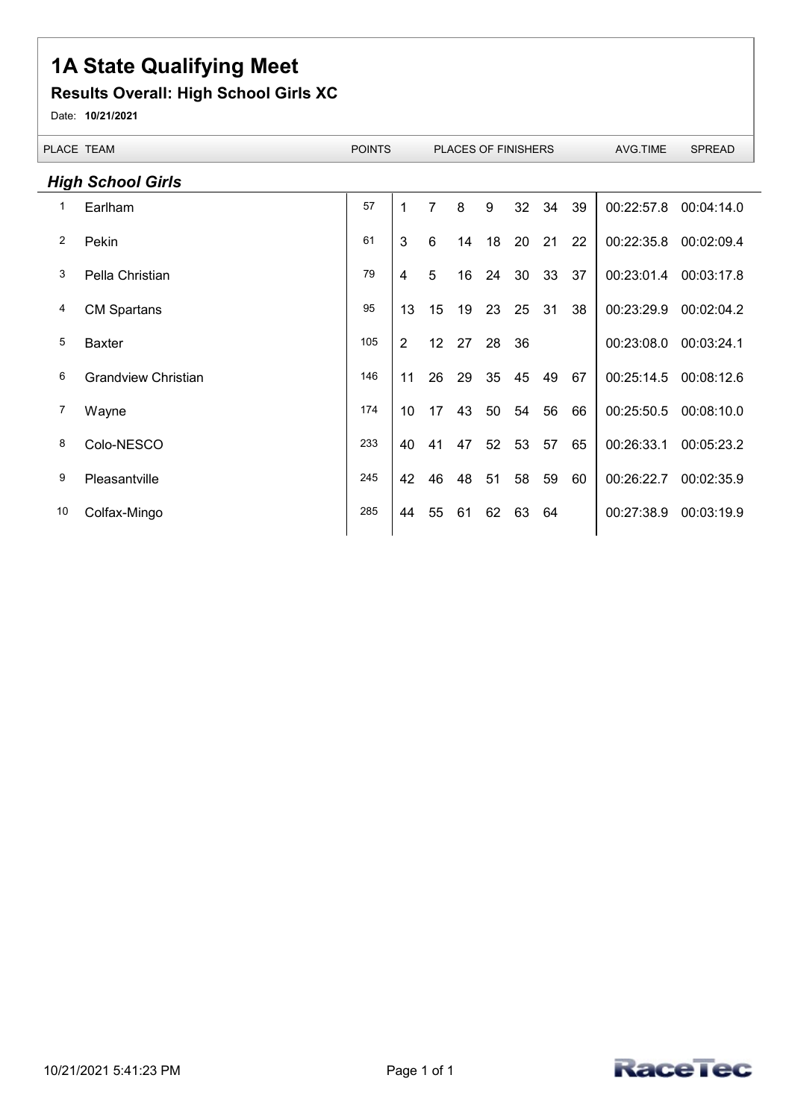## 1A State Qualifying Meet

## Results Overall: High School Girls XC

Date: 10/21/2021

 $\overline{a}$ 

|                          | PLACE TEAM                 |     |                | <b>PLACES OF FINISHERS</b> |    |    |                 |    | AVG.TIME |            | <b>SPREAD</b> |
|--------------------------|----------------------------|-----|----------------|----------------------------|----|----|-----------------|----|----------|------------|---------------|
| <b>High School Girls</b> |                            |     |                |                            |    |    |                 |    |          |            |               |
| 1                        | Earlham                    | 57  | 1              | $\overline{7}$             | 8  | 9  | 32 <sup>2</sup> | 34 | 39       | 00:22:57.8 | 00:04:14.0    |
| 2                        | Pekin                      | 61  | 3              | 6                          | 14 | 18 | 20              | 21 | 22       | 00:22:35.8 | 00:02:09.4    |
| 3                        | Pella Christian            | 79  | 4              | 5                          | 16 | 24 | 30              | 33 | 37       | 00:23:01.4 | 00:03:17.8    |
| 4                        | <b>CM Spartans</b>         | 95  | 13             | 15                         | 19 | 23 | 25              | 31 | 38       | 00:23:29.9 | 00:02:04.2    |
| 5                        | <b>Baxter</b>              | 105 | $\overline{2}$ | 12 <sup>°</sup>            | 27 | 28 | 36              |    |          | 00:23:08.0 | 00:03:24.1    |
| 6                        | <b>Grandview Christian</b> | 146 | 11             | 26                         | 29 | 35 | 45              | 49 | 67       | 00:25:14.5 | 00:08:12.6    |
| 7                        | Wayne                      | 174 | 10             | 17                         | 43 | 50 | 54              | 56 | 66       | 00:25:50.5 | 00:08:10.0    |
| 8                        | Colo-NESCO                 | 233 | 40             | 41                         | 47 | 52 | 53              | 57 | 65       | 00:26:33.1 | 00:05:23.2    |
| 9                        | Pleasantville              | 245 | 42             | 46                         | 48 | 51 | 58              | 59 | 60       | 00:26:22.7 | 00:02:35.9    |
| 10                       | Colfax-Mingo               | 285 | 44             | 55                         | 61 | 62 | 63              | 64 |          | 00:27:38.9 | 00:03:19.9    |
|                          |                            |     |                |                            |    |    |                 |    |          |            |               |

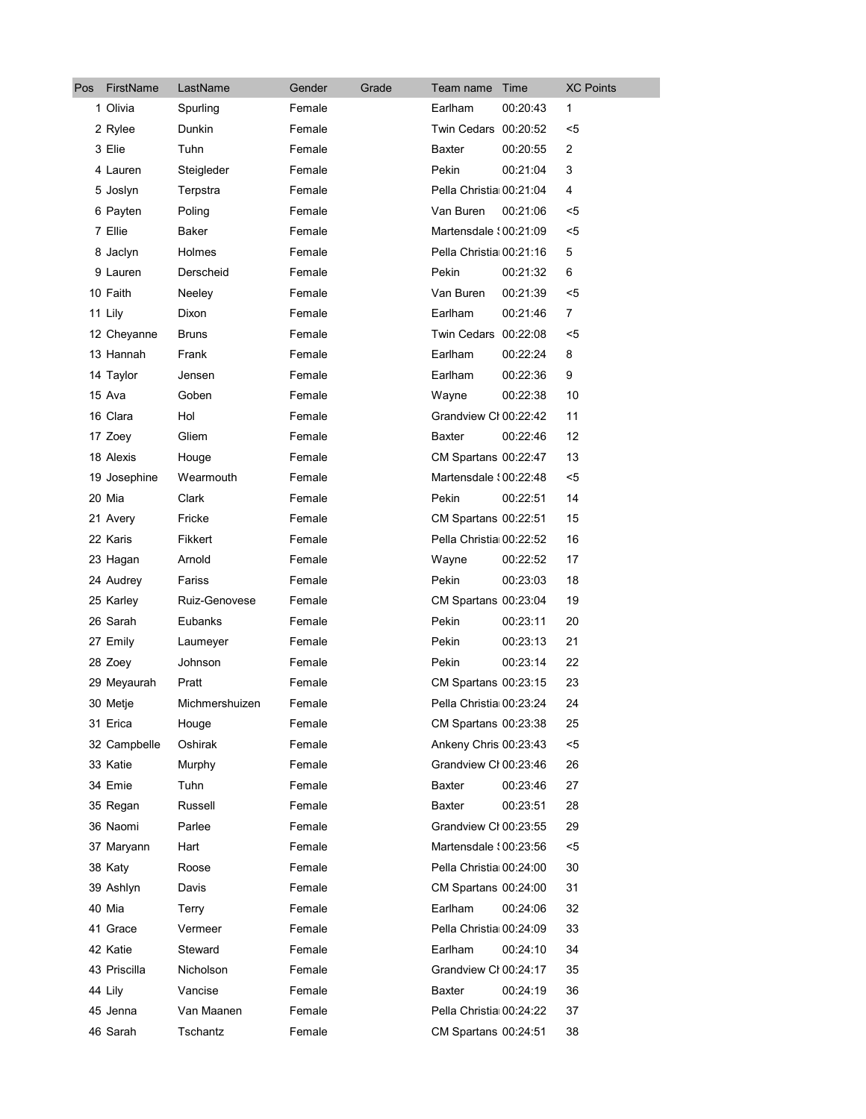| Pos | FirstName    | LastName       | Gender | Grade | Team name Time              |          | <b>XC Points</b> |
|-----|--------------|----------------|--------|-------|-----------------------------|----------|------------------|
|     | 1 Olivia     | Spurling       | Female |       | Earlham                     | 00:20:43 | 1                |
|     | 2 Rylee      | Dunkin         | Female |       | Twin Cedars 00:20:52        |          | <5               |
|     | 3 Elie       | Tuhn           | Female |       | Baxter                      | 00:20:55 | 2                |
|     | 4 Lauren     | Steigleder     | Female |       | Pekin                       | 00:21:04 | 3                |
|     | 5 Joslyn     | Terpstra       | Female |       | Pella Christia 00:21:04     |          | 4                |
|     | 6 Payten     | Poling         | Female |       | Van Buren                   | 00:21:06 | <5               |
|     | 7 Ellie      | Baker          | Female |       | Martensdale \times 00:21:09 |          | <5               |
|     | 8 Jaclyn     | <b>Holmes</b>  | Female |       | Pella Christia 00:21:16     |          | 5                |
|     | 9 Lauren     | Derscheid      | Female |       | Pekin                       | 00:21:32 | 6                |
|     | 10 Faith     | Neeley         | Female |       | Van Buren                   | 00:21:39 | $5$              |
|     | 11 Lily      | <b>Dixon</b>   | Female |       | Earlham                     | 00:21:46 | 7                |
|     | 12 Cheyanne  | <b>Bruns</b>   | Female |       | Twin Cedars 00:22:08        |          | <5               |
|     | 13 Hannah    | Frank          | Female |       | Earlham                     | 00:22:24 | 8                |
|     | 14 Taylor    | Jensen         | Female |       | Earlham                     | 00:22:36 | 9                |
|     | 15 Ava       | Goben          | Female |       | Wayne                       | 00:22:38 | 10               |
|     | 16 Clara     | Hol            | Female |       | Grandview CI 00:22:42       |          | 11               |
|     | 17 Zoey      | Gliem          | Female |       | <b>Baxter</b>               | 00:22:46 | 12               |
|     | 18 Alexis    | Houge          | Female |       | CM Spartans 00:22:47        |          | 13               |
|     | 19 Josephine | Wearmouth      | Female |       | Martensdale \times 00:22:48 |          | <5               |
|     | 20 Mia       | Clark          | Female |       | Pekin                       | 00:22:51 | 14               |
|     | 21 Avery     | Fricke         | Female |       | CM Spartans 00:22:51        |          | 15               |
|     | 22 Karis     | Fikkert        | Female |       | Pella Christia 00:22:52     |          | 16               |
|     | 23 Hagan     | Arnold         | Female |       | Wayne                       | 00:22:52 | 17               |
|     | 24 Audrey    | Fariss         | Female |       | Pekin                       | 00:23:03 | 18               |
|     | 25 Karley    | Ruiz-Genovese  | Female |       | CM Spartans 00:23:04        |          | 19               |
|     | 26 Sarah     | Eubanks        | Female |       | Pekin                       | 00:23:11 | 20               |
|     | 27 Emily     | Laumeyer       | Female |       | Pekin                       | 00:23:13 | 21               |
|     | 28 Zoey      | Johnson        | Female |       | Pekin                       | 00:23:14 | 22               |
|     | 29 Meyaurah  | Pratt          | Female |       | CM Spartans 00:23:15        |          | 23               |
|     | 30 Metje     | Michmershuizen | Female |       | Pella Christia 00:23:24     |          | 24               |
|     | 31 Erica     | Houge          | Female |       | CM Spartans 00:23:38        |          | 25               |
|     | 32 Campbelle | Oshirak        | Female |       | Ankeny Chris 00:23:43       |          | <5               |
|     | 33 Katie     | Murphy         | Female |       | Grandview CI 00:23:46       |          | 26               |
|     | 34 Emie      | Tuhn           | Female |       | Baxter                      | 00:23:46 | 27               |
|     | 35 Regan     | Russell        | Female |       | Baxter                      | 00:23:51 | 28               |
|     | 36 Naomi     | Parlee         | Female |       | Grandview CI 00:23:55       |          | 29               |
|     | 37 Maryann   | Hart           | Female |       | Martensdale \; 00:23:56     |          | <5               |
|     | 38 Katy      | Roose          | Female |       | Pella Christia 00:24:00     |          | 30               |
|     | 39 Ashlyn    | Davis          | Female |       | CM Spartans 00:24:00        |          | 31               |
|     | 40 Mia       | Terry          | Female |       | Earlham                     | 00:24:06 | 32               |
|     | 41 Grace     | Vermeer        | Female |       | Pella Christia 00:24:09     |          | 33               |
|     | 42 Katie     | Steward        | Female |       | Earlham                     | 00:24:10 | 34               |
|     | 43 Priscilla | Nicholson      | Female |       | Grandview CI 00:24:17       |          | 35               |
|     | 44 Lily      | Vancise        | Female |       | Baxter                      | 00:24:19 | 36               |
|     | 45 Jenna     | Van Maanen     | Female |       | Pella Christia 00:24:22     |          | 37               |
|     | 46 Sarah     | Tschantz       | Female |       | CM Spartans 00:24:51        |          | 38               |